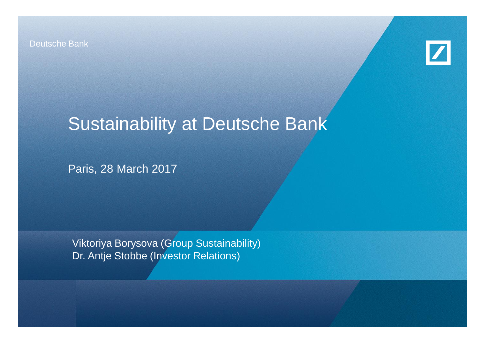Deutsche Bank



# Sustainability at Deutsche Bank

Paris, 28 March 2017

Viktoriya Borysova (Group Sustainability) Dr. Antje Stobbe (Investor Relations)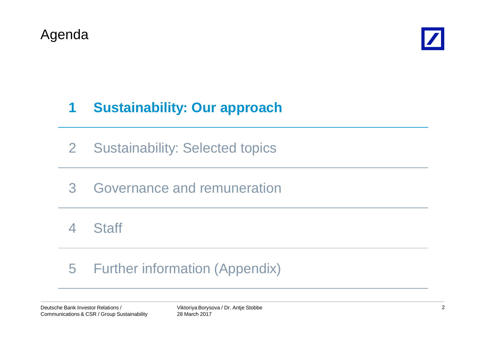



# **1 Sustainability: Our approach**

- 2 Sustainability: Selected topics
- 3 Governance and remuneration

4 Staff

# 5 Further information (Appendix)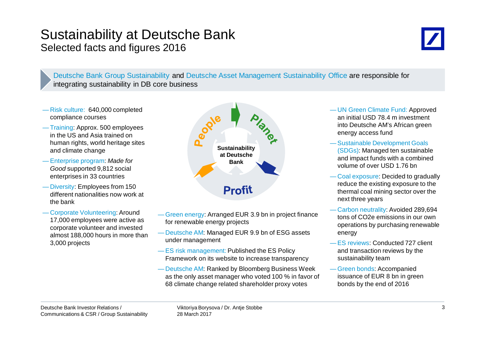### Sustainability at Deutsche Bank Selected facts and figures 2016



Deutsche Bank Group Sustainability and Deutsche Asset Management Sustainability Office are responsible for integrating sustainability in DB core business

- Risk culture: 640,000 completed compliance courses
- Training: Approx. 500 employees in the US and Asia trained on human rights, world heritage sites and climate change
- Enterprise program: *Made for Good* supported 9,812 social enterprises in 33 countries
- Diversity: Employees from 150 different nationalities now work at the bank
- Corporate Volunteering: Around 17,000 employees were active as corporate volunteer and invested almost 188,000 hours in more than 3,000 projects



- Green energy: Arranged EUR 3.9 bn in project finance for renewable energy projects
- Deutsche AM: Managed EUR 9.9 bn of ESG assets under management
- ES risk management: Published the ES Policy Framework on its website to increase transparency
- Deutsche AM: Ranked by Bloomberg Business Week as the only asset manager who voted 100 % in favor of 68 climate change related shareholder proxy votes
- UN Green Climate Fund: Approved an initial USD 78.4 m investment into Deutsche AM's African green energy access fund
- Sustainable Development Goals (SDGs): Managed ten sustainable and impact funds with a combined volume of over USD 1.76 bn
- Coal exposure: Decided to gradually reduce the existing exposure to the thermal coal mining sector over the next three years
- Carbon neutrality: Avoided 289,694 tons of CO2e emissions in our own operations by purchasing renewable energy
- ES reviews: Conducted 727 client and transaction reviews by the sustainability team
- Green bonds: Accompanied issuance of EUR 8 bn in green bonds by the end of 2016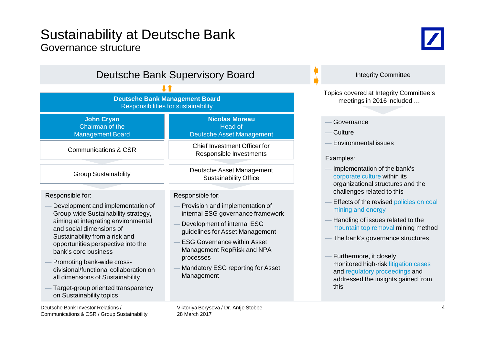### Sustainability at Deutsche Bank Governance structure



| <b>Deutsche Bank Supervisory Board</b>                                                                                                                                                                                                                                                                                                                                                                                                        |                                                                                                                                                                                                                                                                                                |  |  |  |  |  |  |
|-----------------------------------------------------------------------------------------------------------------------------------------------------------------------------------------------------------------------------------------------------------------------------------------------------------------------------------------------------------------------------------------------------------------------------------------------|------------------------------------------------------------------------------------------------------------------------------------------------------------------------------------------------------------------------------------------------------------------------------------------------|--|--|--|--|--|--|
|                                                                                                                                                                                                                                                                                                                                                                                                                                               |                                                                                                                                                                                                                                                                                                |  |  |  |  |  |  |
|                                                                                                                                                                                                                                                                                                                                                                                                                                               | <b>Deutsche Bank Management Board</b><br>Responsibilities for sustainability                                                                                                                                                                                                                   |  |  |  |  |  |  |
| <b>John Cryan</b><br>Chairman of the<br><b>Management Board</b>                                                                                                                                                                                                                                                                                                                                                                               | <b>Nicolas Moreau</b><br><b>Head of</b><br><b>Deutsche Asset Management</b>                                                                                                                                                                                                                    |  |  |  |  |  |  |
| <b>Communications &amp; CSR</b>                                                                                                                                                                                                                                                                                                                                                                                                               | <b>Chief Investment Officer for</b><br>Responsible Investments                                                                                                                                                                                                                                 |  |  |  |  |  |  |
| <b>Group Sustainability</b>                                                                                                                                                                                                                                                                                                                                                                                                                   | Deutsche Asset Management<br><b>Sustainability Office</b>                                                                                                                                                                                                                                      |  |  |  |  |  |  |
| Responsible for:<br>Development and implementation of<br>Group-wide Sustainability strategy,<br>aiming at integrating environmental<br>and social dimensions of<br>Sustainability from a risk and<br>opportunities perspective into the<br>bank's core business<br>Promoting bank-wide cross-<br>divisional/functional collaboration on<br>all dimensions of Sustainability<br>Target-group oriented transparency<br>on Sustainability topics | Responsible for:<br>Provision and implementation of<br>internal ESG governance framework<br>Development of internal ESG<br>guidelines for Asset Management<br><b>ESG Governance within Asset</b><br>Management RepRisk and NPA<br>processes<br>Mandatory ESG reporting for Asset<br>Management |  |  |  |  |  |  |

#### Topics covered at Integrity Committee's meetings in 2016 included …

Integrity Committee

- **Governance**
- Culture
- Environmental issues

#### Examples:

- Implementation of the bank's corporate culture within its organizational structures and the challenges related to this
- Effects of the revised policies on coal mining and energy
- Handling of issues related to the mountain top removal mining method
- The bank's governance structures
- Furthermore, it closely monitored high-risk litigation cases and regulatory proceedings and addressed the insights gained from this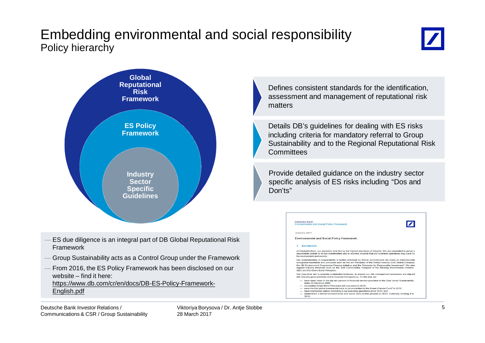## Embedding environmental and social responsibility Policy hierarchy





- ES due diligence is an integral part of DB Global Reputational Risk Framework
- Group Sustainability acts as a Control Group under the Framework
- From 2016, the ES Policy Framework has been disclosed on our website – find it here:

https://www.db.com/cr/en/docs/DB-ES-Policy-Framework-English.pdf

Defines consistent standards for the identification, assessment and management of reputational risk matters

Details DB's guidelines for dealing with ES risks including criteria for mandatory referral to Group Sustainability and to the Regional Reputational Risk **Committees** 

Provide detailed guidance on the industry sector specific analysis of ES risks including "Dos and Don'ts"

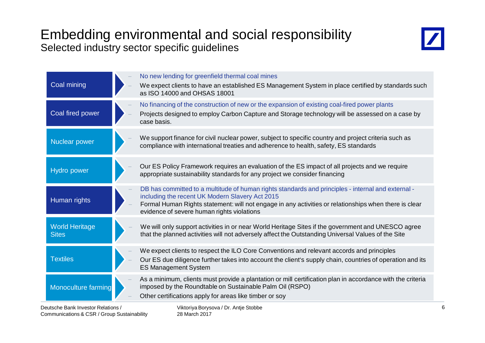## Embedding environmental and social responsibility Selected industry sector specific guidelines



| Coal mining                           | No new lending for greenfield thermal coal mines<br>We expect clients to have an established ES Management System in place certified by standards such<br>as ISO 14000 and OHSAS 18001                                                                                                                       |
|---------------------------------------|--------------------------------------------------------------------------------------------------------------------------------------------------------------------------------------------------------------------------------------------------------------------------------------------------------------|
| Coal fired power                      | No financing of the construction of new or the expansion of existing coal-fired power plants<br>Projects designed to employ Carbon Capture and Storage technology will be assessed on a case by<br>case basis.                                                                                               |
| Nuclear power                         | We support finance for civil nuclear power, subject to specific country and project criteria such as<br>compliance with international treaties and adherence to health, safety, ES standards                                                                                                                 |
| Hydro power                           | Our ES Policy Framework requires an evaluation of the ES impact of all projects and we require<br>appropriate sustainability standards for any project we consider financing                                                                                                                                 |
| Human rights                          | DB has committed to a multitude of human rights standards and principles - internal and external -<br>including the recent UK Modern Slavery Act 2015<br>Formal Human Rights statement: will not engage in any activities or relationships when there is clear<br>evidence of severe human rights violations |
| <b>World Heritage</b><br><b>Sites</b> | We will only support activities in or near World Heritage Sites if the government and UNESCO agree<br>that the planned activities will not adversely affect the Outstanding Universal Values of the Site                                                                                                     |
| <b>Textiles</b>                       | We expect clients to respect the ILO Core Conventions and relevant accords and principles<br>Our ES due diligence further takes into account the client's supply chain, countries of operation and its<br><b>ES Management System</b>                                                                        |
| Monoculture farming                   | As a minimum, clients must provide a plantation or mill certification plan in accordance with the criteria<br>imposed by the Roundtable on Sustainable Palm Oil (RSPO)<br>Other certifications apply for areas like timber or soy                                                                            |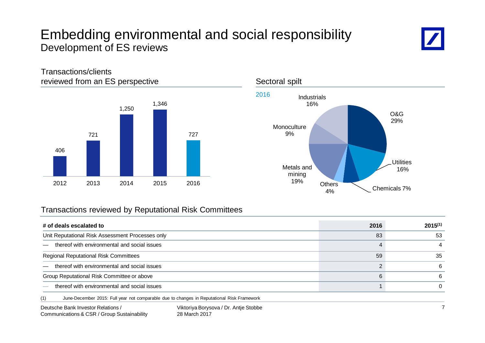## Embedding environmental and social responsibility Development of ES reviews



O&G 29%

> Utilities 16%

4%

#### 406 721 1,250 1,346 727 2012 2013 2014 2015 2016 Others Chemicals 7% Metals and mining 19% **Monoculture** 9% Industrials 16% 2016 reviewed from an ES perspective Sectoral spilt

### Transactions reviewed by Reputational Risk Committees

| # of deals escalated to                                                                           | 2016 | $2015^{(1)}$ |
|---------------------------------------------------------------------------------------------------|------|--------------|
| Unit Reputational Risk Assessment Processes only                                                  | 83   | 53           |
| thereof with environmental and social issues                                                      | 4    | 4            |
| Regional Reputational Risk Committees                                                             | 59   | 35           |
| thereof with environmental and social issues                                                      |      | -6           |
| Group Reputational Risk Committee or above                                                        | 6    | 6            |
| thereof with environmental and social issues                                                      |      |              |
| (1)<br>June-December 2015: Full year not comparable due to changes in Reputational Risk Framework |      |              |

Transactions/clients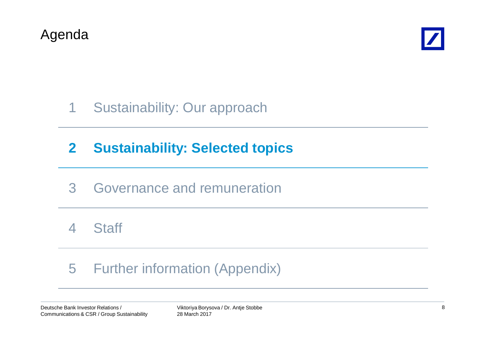



# 1 Sustainability: Our approach

# **2 Sustainability: Selected topics**

## 3 Governance and remuneration

4 Staff

# 5 Further information (Appendix)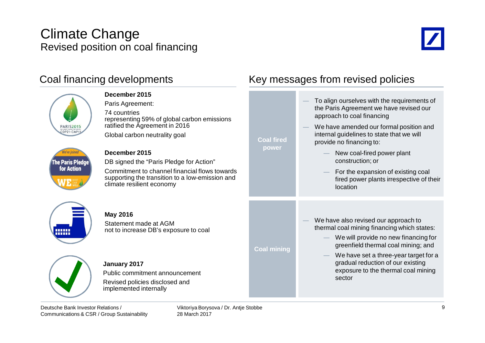## Climate Change Revised position on coal financing



| Coal financing developments                                      |                                                                                                                                                                                                                                                                                                                                                                  | Key messages from revised policies                                                 |                                                                                                                                                                                                                                                                                                                                                                                          |
|------------------------------------------------------------------|------------------------------------------------------------------------------------------------------------------------------------------------------------------------------------------------------------------------------------------------------------------------------------------------------------------------------------------------------------------|------------------------------------------------------------------------------------|------------------------------------------------------------------------------------------------------------------------------------------------------------------------------------------------------------------------------------------------------------------------------------------------------------------------------------------------------------------------------------------|
| <b>PARIS2015</b><br>COP21-CMP1<br>The Paris Pledge<br>for Action | December 2015<br>Paris Agreement:<br>74 countries<br>representing 59% of global carbon emissions<br>ratified the Agreement in 2016<br>Global carbon neutrality goal<br>December 2015<br>DB signed the "Paris Pledge for Action"<br>Commitment to channel financial flows towards<br>supporting the transition to a low-emission and<br>climate resilient economy | <b>Coal fired</b><br>power                                                         | To align ourselves with the requirements of<br>the Paris Agreement we have revised our<br>approach to coal financing<br>We have amended our formal position and<br>internal guidelines to state that we will<br>provide no financing to:<br>New coal-fired power plant<br>construction; or<br>For the expansion of existing coal<br>fired power plants irrespective of their<br>location |
| <b>THEFT</b><br>mm                                               | <b>May 2016</b><br>Statement made at AGM<br>not to increase DB's exposure to coal                                                                                                                                                                                                                                                                                | <b>Coal mining</b>                                                                 | We have also revised our approach to<br>thermal coal mining financing which states:<br>We will provide no new financing for<br>greenfield thermal coal mining; and<br>We have set a three-year target for a                                                                                                                                                                              |
|                                                                  | January 2017<br>Public commitment announcement<br>Revised policies disclosed and<br>implemented internally                                                                                                                                                                                                                                                       | gradual reduction of our existing<br>exposure to the thermal coal mining<br>sector |                                                                                                                                                                                                                                                                                                                                                                                          |

Deutsche Bank Investor Relations / Communications & CSR / Group Sustainability Viktoriya Borysova / Dr. Antje Stobbe 28 March 2017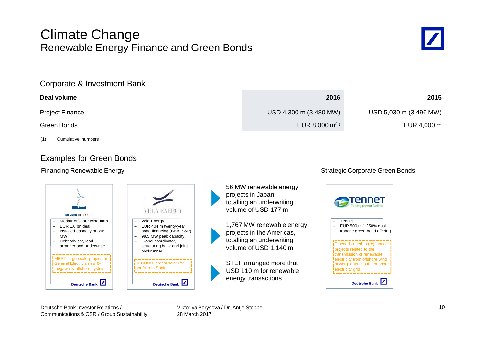### Climate Change Renewable Energy Finance and Green Bonds



#### Corporate & Investment Bank

| Deal volume     | 2016                   | 2015                   |
|-----------------|------------------------|------------------------|
| Project Finance | USD 4,300 m (3,480 MW) | USD 5,030 m (3,496 MW) |
| Green Bonds     | EUR 8,000 $m^{(1)}$    | EUR 4,000 m            |

(1) Cumulative numbers

### Examples for Green Bonds

| <b>Financing Renewable Energy</b>                                                                                                                                                                                                                                                                          | <b>Strategic Corporate Green Bonds</b>                                                                                                                                                                                          |                                                                                                                                                                                                                                                                                               |                                                                                                                                                                                                                                                                                                |
|------------------------------------------------------------------------------------------------------------------------------------------------------------------------------------------------------------------------------------------------------------------------------------------------------------|---------------------------------------------------------------------------------------------------------------------------------------------------------------------------------------------------------------------------------|-----------------------------------------------------------------------------------------------------------------------------------------------------------------------------------------------------------------------------------------------------------------------------------------------|------------------------------------------------------------------------------------------------------------------------------------------------------------------------------------------------------------------------------------------------------------------------------------------------|
| <b>MERKUR OFFSHORE</b><br>Merkur offshore wind farm<br>EUR 1.6 bn deal<br>$\overline{\phantom{0}}$<br>Installed capacity of 396<br><b>MW</b><br>Debt advisor, lead<br>arranger and underwriter<br>FIRST large-scale project for<br>General Electric's new 6-<br>megawatts offshore system<br>Deutsche Bank | Vela Energy<br>EUR 404 m twenty-year<br>bond financing (BBB, S&P)<br>98.5 MW peak capacity<br>Global coordinator,<br>structuring bank and joint<br>bookrunner<br>SECOND largest solar PV<br>portfolio in Spain<br>Deutsche Bank | 56 MW renewable energy<br>projects in Japan,<br>totalling an underwriting<br>volume of USD 177 m<br>1,767 MW renewable energy<br>projects in the Americas,<br>totalling an underwriting<br>volume of USD 1,140 m<br>STEF arranged more that<br>USD 110 m for renewable<br>energy transactions | <b>Tenner</b><br>Tennet<br>Ξ.<br>EUR 500 m 1.250% dual<br>tranche green bond offering<br>Proceeds used to (re)finance<br>projects related to the<br><b>i</b> transmission of renewable<br>electricity from offshore wind<br>power plants into the onshore<br>electricity grid<br>Deutsche Bank |

Viktoriya Borysova / Dr. Antje Stobbe 28 March 2017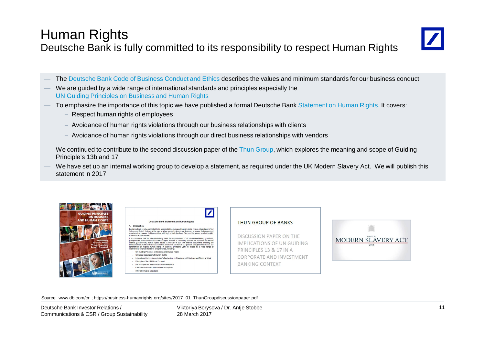## Human Rights Deutsche Bank is fully committed to its responsibility to respect Human Rights



- The Deutsche Bank Code of Business Conduct and Ethics describes the values and minimum standards for our business conduct
- We are guided by a wide range of international standards and principles especially the UN Guiding Principles on Business and Human Rights
- To emphasize the importance of this topic we have published a formal Deutsche Bank Statement on Human Rights. It covers:
	- Respect human rights of employees
	- Avoidance of human rights violations through our business relationships with clients
	- $-$  Avoidance of human rights violations through our direct business relationships with vendors
- We continued to contribute to the second discussion paper of the Thun Group, which explores the meaning and scope of Guiding Principle's 13b and 17
- We have set up an internal working group to develop a statement, as required under the UK Modern Slavery Act. We will publish this statement in 2017



|        | $\boldsymbol{Z}$                                                                                                                                                                                                                                                                                                                                                                                                                                                                                                                                                           |
|--------|----------------------------------------------------------------------------------------------------------------------------------------------------------------------------------------------------------------------------------------------------------------------------------------------------------------------------------------------------------------------------------------------------------------------------------------------------------------------------------------------------------------------------------------------------------------------------|
|        | Deutsche Bank Statement on Human Rights                                                                                                                                                                                                                                                                                                                                                                                                                                                                                                                                    |
|        | Introduction                                                                                                                                                                                                                                                                                                                                                                                                                                                                                                                                                               |
|        | eutsche Bank is fully committed to its responsibilities to respect human rights. It is an integral part of our<br>alues and Beliefs that are at the core of all we aspire to do and are designed to ensure that we conduct<br>urselves in a manner that is consistent with high ethical standards. We must be guided by what is right,<br>tiust by what is allowed.                                                                                                                                                                                                        |
|        | is a complex task to comprehensively meet the requirements of all recommendations, quidelines,<br>inciples and standards related to human rights. We aim to continually improve our approach to, and the<br>temal quidance on, human rights issues. A number of our core internal documents including the<br>eutsche Bank Code of Business Conduct and Ethics as well as our policies and quidelines reflect our<br>ommitment to respect human rights. In addition. Deutsche Bank is guided by a wide range of<br>temational external standards and principles, including: |
|        | UN Guiding Principles on Business and Human Rights                                                                                                                                                                                                                                                                                                                                                                                                                                                                                                                         |
| $\sim$ | Universal Declaration of Human Rights                                                                                                                                                                                                                                                                                                                                                                                                                                                                                                                                      |
| ٠      | International Labour Organization's Declaration on Fundamental Principles and Rights at Work                                                                                                                                                                                                                                                                                                                                                                                                                                                                               |
|        | Principles of the UN Global Compact                                                                                                                                                                                                                                                                                                                                                                                                                                                                                                                                        |
|        | UN Principles for Responsible Investment (PRI)                                                                                                                                                                                                                                                                                                                                                                                                                                                                                                                             |

- OECD Guidelines for Multinational Ent
- **IEC Performance Standard**

#### **THUN GROUP OF BANKS**

DISCUSSION PAPER ON THE IMPLICATIONS OF UN GUIDING PRINCIPLES 13 & 17 IN A CORPORATE AND INVESTMENT **BANKING CONTEXT** 



Source: www.db.com/cr ; https://business-humanrights.org/sites/2017\_01\_ThunGroupdiscussionpaper.pdf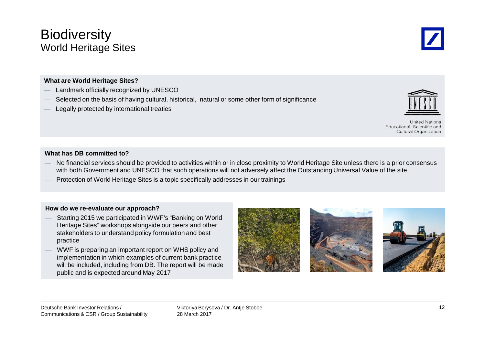## **Biodiversity** World Heritage Sites

#### **What are World Heritage Sites?**

- Landmark officially recognized by UNESCO
- Selected on the basis of having cultural, historical, natural or some other form of significance
- Legally protected by international treaties

#### **What has DB committed to?**

- No financial services should be provided to activities within or in close proximity to World Heritage Site unless there is a prior consensus with both Government and UNESCO that such operations will not adversely affect the Outstanding Universal Value of the site
- Protection of World Heritage Sites is a topic specifically addresses in our trainings

#### **How do we re-evaluate our approach?**

- Starting 2015 we participated in WWF's "Banking on World Heritage Sites" workshops alongside our peers and other stakeholders to understand policy formulation and best practice
- WWF is preparing an important report on WHS policy and implementation in which examples of current bank practice will be included, including from DB. The report will be made public and is expected around May 2017
	-









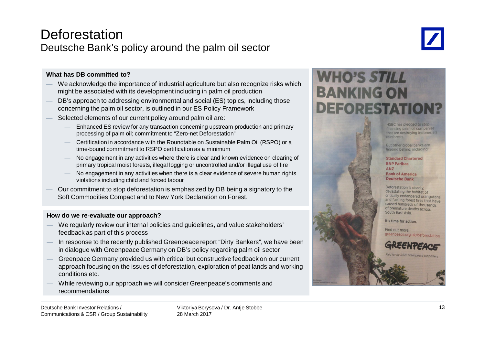### **Deforestation** Deutsche Bank's policy around the palm oil sector



#### **What has DB committed to?**

- We acknowledge the importance of industrial agriculture but also recognize risks which might be associated with its development including in palm oil production
- DB's approach to addressing environmental and social (ES) topics, including those concerning the palm oil sector, is outlined in our ES Policy Framework
- Selected elements of our current policy around palm oil are:
	- Enhanced ES review for any transaction concerning upstream production and primary processing of palm oil; commitment to "Zero-net Deforestation"
	- Certification in accordance with the Roundtable on Sustainable Palm Oil (RSPO) or a time-bound commitment to RSPO certification as a minimum
	- No engagement in any activities where there is clear and known evidence on clearing of primary tropical moist forests, illegal logging or uncontrolled and/or illegal use of fire
	- No engagement in any activities when there is a clear evidence of severe human rights violations including child and forced labour
- Our commitment to stop deforestation is emphasized by DB being a signatory to the Soft Commodities Compact and to New York Declaration on Forest.

#### **How do we re-evaluate our approach?**

- We regularly review our internal policies and guidelines, and value stakeholders' feedback as part of this process
- In response to the recently published Greenpeace report "Dirty Bankers", we have been in dialogue with Greenpeace Germany on DB's policy regarding palm oil sector
- Greenpace Germany provided us with critical but constructive feedback on our current approach focusing on the issues of deforestation, exploration of peat lands and working conditions etc.
- While reviewing our approach we will consider Greenpeace's comments and recommendations

# **WHO'S STILL BANKING ON DEFORESTA**

HSBC has pledged to stop financing palm oil companies that are destroying Indonesia's rainforests.

But other global banks are lagging behind, including:

#### **Standard Chartered BNP Paribas ANZ Bank of America Deutsche Bank**

Deforestation is deadly. devastating the habitat of critically endangered orangutans and fuelling forest fires that have caused hundreds of thousands of premature deaths across South East Asia

It's time for action.

Find out more: greenpeace.org.uk/deforestation



id for by 3,626 Greenpeace su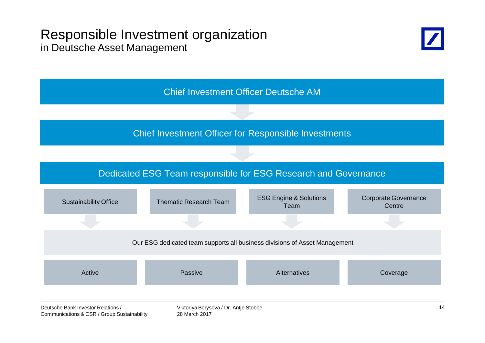### Responsible Investment organization in Deutsche Asset Management



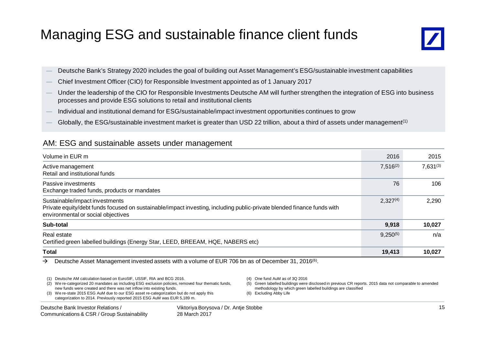## Managing ESG and sustainable finance client funds



- Deutsche Bank's Strategy 2020 includes the goal of building out Asset Management's ESG/sustainable investment capabilities
- ʊ Chief Investment Officer (CIO) for Responsible Investment appointed as of 1 January 2017
- Under the leadership of the CIO for Responsible Investments Deutsche AM will further strengthen the integration of ESG into business processes and provide ESG solutions to retail and institutional clients
- Individual and institutional demand for ESG/sustainable/impact investment opportunities continues to grow
- Globally, the ESG/sustainable investment market is greater than USD 22 trillion, about a third of assets under management<sup>(1)</sup>

### AM: ESG and sustainable assets under management

| Volume in EUR m                                                                                                                                                                                | 2016          | 2015          |
|------------------------------------------------------------------------------------------------------------------------------------------------------------------------------------------------|---------------|---------------|
| Active management<br>Retail and institutional funds                                                                                                                                            | $7,516^{(2)}$ | $7,631^{(3)}$ |
| Passive investments<br>Exchange traded funds, products or mandates                                                                                                                             | 76            | 106           |
| Sustainable/impact investments<br>Private equity/debt funds focused on sustainable/impact investing, including public-private blended finance funds with<br>environmental or social objectives | $2,327^{(4)}$ | 2,290         |
| Sub-total                                                                                                                                                                                      | 9,918         | 10,027        |
| Real estate<br>Certified green labelled buildings (Energy Star, LEED, BREEAM, HQE, NABERS etc)                                                                                                 | $9,250^{(5)}$ | n/a           |
| <b>Total</b>                                                                                                                                                                                   | 19,413        | 10,027        |

 $\rightarrow$  Deutsche Asset Management invested assets with a volume of EUR 706 bn as of December 31, 2016<sup>(6)</sup>.

- (1) Deutsche AM calculation based on EuroSIF, USSIF, RIA and BCG 2016.
- (2) We re-categorized 20 mandates as including ESG exclusion policies, removed four thematic funds, new funds were created and there was net inflow into existing funds.
- (3) We re-state 2015 ESG AuM due to our ESG asset re-categorization but do not apply this categorization to 2014. Previously reported 2015 ESG AuM was EUR 5,189 m.

Viktoriya Borysova / Dr. Antje Stobbe 28 March 2017

- (4) One fund AuM as of 3Q 2016
- (5) Green labelled buildings were disclosed in previous CR reports. 2015 data not comparable to amended methodology by which green labelled buildings are classified

(6) Excluding Abby Life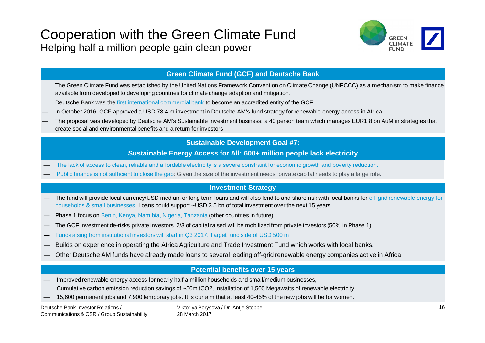## Cooperation with the Green Climate Fund Helping half a million people gain clean power



#### **Green Climate Fund (GCF) and Deutsche Bank**

- The Green Climate Fund was established by the United Nations Framework Convention on Climate Change (UNFCCC) as a mechanism to make finance available from developed to developing countries for climate change adaption and mitigation.
- Deutsche Bank was the first international commercial bank to become an accredited entity of the GCF.
- In October 2016, GCF approved a USD 78.4 m investment in Deutsche AM's fund strategy for renewable energy access in Africa.
- The proposal was developed by Deutsche AM's Sustainable Investment business: a 40 person team which manages EUR1.8 bn AuM in strategies that create social and environmental benefits and a return for investors

#### **Sustainable Development Goal #7:**

#### **Sustainable Energy Access for All: 600+ million people lack electricity**

- The lack of access to clean, reliable and affordable electricity is a severe constraint for economic growth and poverty reduction.
- Public finance is not sufficient to close the gap: Given the size of the investment needs, private capital needs to play a large role.

#### **Investment Strategy**

- The fund will provide local currency/USD medium or long term loans and will also lend to and share risk with local banks for off-grid renewable energy for households & small businesses. Loans could support ~USD 3.5 bn of total investment over the next 15 years.
- Phase 1 focus on Benin, Kenya, Namibia, Nigeria, Tanzania (other countries in future).
- The GCF investment de-risks private investors. 2/3 of capital raised will be mobilized from private investors (50% in Phase 1).
- Fund-raising from institutional investors will start in Q3 2017. Target fund side of USD 500 m.
- Builds on experience in operating the Africa Agriculture and Trade Investment Fund which works with local banks.
- Other Deutsche AM funds have already made loans to several leading off-grid renewable energy companies active in Africa.

#### **Potential benefits over 15 years**

- Improved renewable energy access for nearly half a million households and small/medium businesses,
- Cumulative carbon emission reduction savings of ~50m tCO2, installation of 1,500 Megawatts of renewable electricity,
- 15,600 permanent jobs and 7,900 temporary jobs. It is our aim that at least 40-45% of the new jobs will be for women.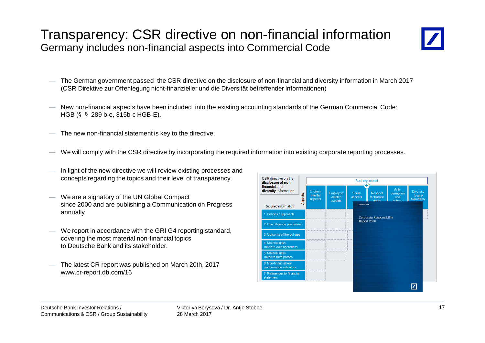## Transparency: CSR directive on non-financial information Germany includes non-financial aspects into Commercial Code



- The German government passed the CSR directive on the disclosure of non-financial and diversity information in March 2017 (CSR Direktive zur Offenlegung nicht-finanzieller und die Diversität betreffender Informationen)
- New non-financial aspects have been included into the existing accounting standards of the German Commercial Code: HGB (§§289 b-e, 315b-c HGB-E).
- The new non-financial statement is key to the directive.
- We will comply with the CSR directive by incorporating the required information into existing corporate reporting processes.
- In light of the new directive we will review existing processes and concepts regarding the topics and their level of transparency.
- We are a signatory of the UN Global Compact since 2000 and are publishing a Communication on Progress annually
- We report in accordance with the GRI G4 reporting standard, covering the most material non-financial topics to Deutsche Bank and its stakeholder.
- The latest CR report was published on March 20th, 2017 www.cr-report.db.com/16

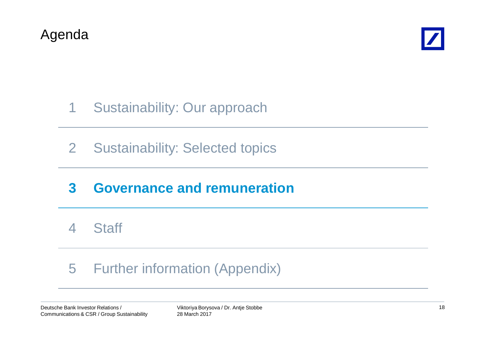



# 1 Sustainability: Our approach

2 Sustainability: Selected topics

## **3 Governance and remuneration**

4 Staff

# 5 Further information (Appendix)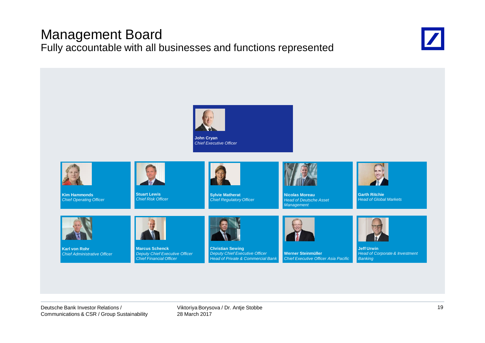## Management Board Fully accountable with all businesses and functions represented



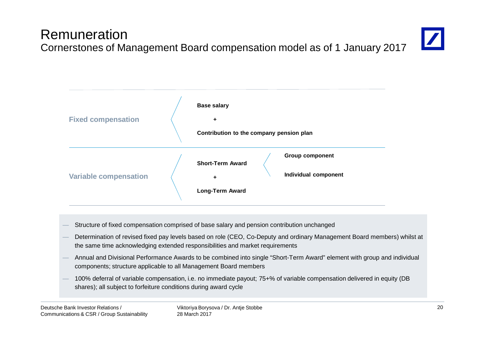#### Deutsche Bank Investor Relations / Communications & CSR / Group Sustainability

#### Viktoriya Borysova / Dr. Antje Stobbe 28 March 2017

#### 20

Remuneration Cornerstones of Management Board compensation model as of 1 January 2017





- Structure of fixed compensation comprised of base salary and pension contribution unchanged
- Determination of revised fixed pay levels based on role (CEO, Co-Deputy and ordinary Management Board members) whilst at the same time acknowledging extended responsibilities and market requirements
- Annual and Divisional Performance Awards to be combined into single "Short-Term Award" element with group and individual components; structure applicable to all Management Board members
- 100% deferral of variable compensation, i.e. no immediate payout; 75+% of variable compensation delivered in equity (DB shares); all subject to forfeiture conditions during award cycle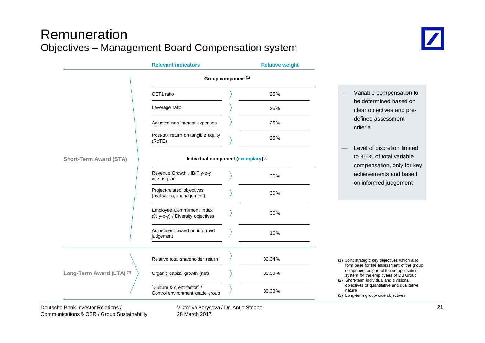## Remuneration Objectives – Management Board Compensation system



|                               | <b>Relevant indicators</b>                                     | <b>Relative weight</b>                                                                 |                                                                                                                                         |
|-------------------------------|----------------------------------------------------------------|----------------------------------------------------------------------------------------|-----------------------------------------------------------------------------------------------------------------------------------------|
|                               | Group component <sup>(1)</sup>                                 |                                                                                        |                                                                                                                                         |
|                               | CET1 ratio                                                     | 25%                                                                                    | Variable compensation to                                                                                                                |
|                               | Leverage ratio                                                 | 25%                                                                                    | be determined based on<br>clear objectives and pre-                                                                                     |
|                               | Adjusted non-interest expenses                                 | 25%                                                                                    | defined assessment<br>criteria                                                                                                          |
|                               | Post-tax return on tangible equity<br>(RoTE)                   | 25%                                                                                    |                                                                                                                                         |
| <b>Short-Term Award (STA)</b> | Individual component (exemplary) <sup>(2)</sup>                | Level of discretion limited<br>to 3-6% of total variable<br>compensation, only for key |                                                                                                                                         |
|                               | Revenue Growth / IBIT y-o-y<br>versus plan                     | 30%                                                                                    | achievements and based<br>on informed judgement                                                                                         |
|                               | Project-related objectives<br>(realisation, management)        | 30%                                                                                    |                                                                                                                                         |
|                               | Employee Commitment Index<br>(% y-o-y) / Diversity objectives  | 30%                                                                                    |                                                                                                                                         |
|                               | Adjustment based on informed<br>judgement                      | 10%                                                                                    |                                                                                                                                         |
|                               | Relative total shareholder return                              | 33.34%                                                                                 | (1) Joint strategic key objectives which also                                                                                           |
| Long-Term Award (LTA) (3)     | Organic capital growth (net)                                   | 33.33%                                                                                 | form base for the assessment of the group<br>component as part of the compensation<br>system for the employees of DB Group              |
|                               | 'Culture & client factor' /<br>Control environment grade group | 33.33%                                                                                 | (2) Short-term individual and divisional<br>objectives of quantitative and qualitative<br>nature<br>(3) Long-term group-wide objectives |

Viktoriya Borysova / Dr. Antje Stobbe 28 March 2017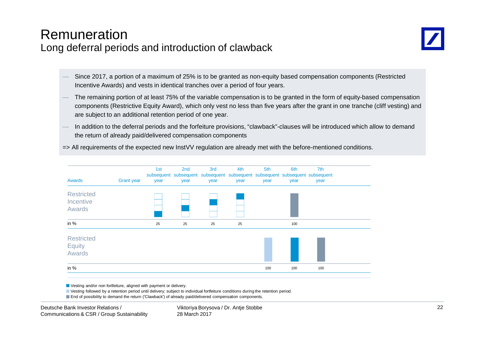### Remuneration Long deferral periods and introduction of clawback



- Since 2017, a portion of a maximum of 25% is to be granted as non-equity based compensation components (Restricted Incentive Awards) and vests in identical tranches over a period of four years.
- The remaining portion of at least 75% of the variable compensation is to be granted in the form of equity-based compensation components (Restrictive Equity Award), which only vest no less than five years after the grant in one tranche (cliff vesting) and are subject to an additional retention period of one year.
- In addition to the deferral periods and the forfeiture provisions, "clawback"-clauses will be introduced which allow to demand the return of already paid/delivered compensation components

=> All requirements of the expected new InstVV regulation are already met with the before-mentioned conditions.

| <b>Awards</b>                                       | <b>Grant year</b> | 1st<br>year | 2nd<br>year | 3rd<br>subsequent subsequent subsequent subsequent subsequent subsequent subsequent<br>year | 4th<br>year | 5th<br>year | 6th<br>year | 7th<br>year |  |
|-----------------------------------------------------|-------------------|-------------|-------------|---------------------------------------------------------------------------------------------|-------------|-------------|-------------|-------------|--|
| <b>Restricted</b><br>Incentive<br><b>Awards</b>     |                   |             |             |                                                                                             |             |             |             |             |  |
| in $%$                                              |                   | 25          | 25          | 25                                                                                          | 25          |             | 100         |             |  |
| <b>Restricted</b><br><b>Equity</b><br><b>Awards</b> |                   |             |             |                                                                                             |             |             |             |             |  |
| in $%$                                              |                   |             |             |                                                                                             |             | 100         | 100         | 100         |  |

Vesting and/or non fortfeiture, aligned with payment or delivery.

Vesting followed by a retention period until delivery; subject to individual fortfeiture conditions during the retention period.

**End of possibility to demand the return ('Clawback') of already paid/delivered compensation components.**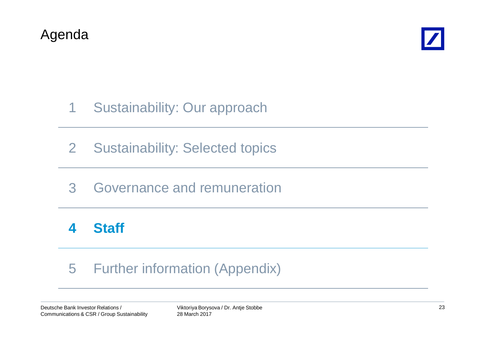



# 1 Sustainability: Our approach

- 2 Sustainability: Selected topics
- 3 Governance and remuneration

# **4 Staff**

# 5 Further information (Appendix)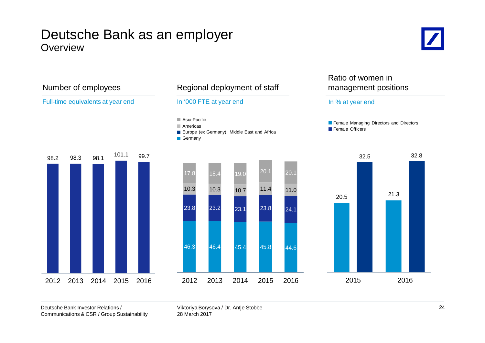### Deutsche Bank as an employer **Overview**





#### Deutsche Bank Investor Relations / Communications & CSR / Group Sustainability

Viktoriya Borysova / Dr. Antje Stobbe 28 March 2017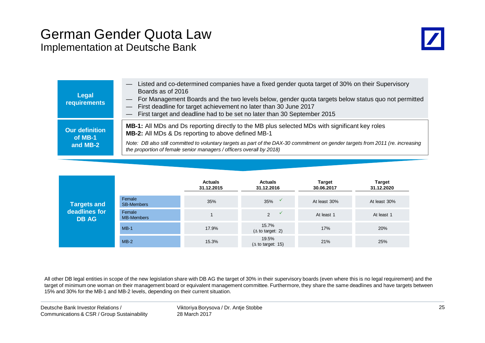### German Gender Quota Law Implementation at Deutsche Bank



| Legal<br><b>requirements</b>                 | Listed and co-determined companies have a fixed gender quota target of 30% on their Supervisory<br>Boards as of 2016<br>- For Management Boards and the two levels below, gender quota targets below status quo not permitted<br>- First deadline for target achievement no later than 30 June 2017<br>- First target and deadline had to be set no later than 30 September 2015 |
|----------------------------------------------|----------------------------------------------------------------------------------------------------------------------------------------------------------------------------------------------------------------------------------------------------------------------------------------------------------------------------------------------------------------------------------|
| <b>Our definition</b><br>of MB-1<br>and MB-2 | MB-1: All MDs and Ds reporting directly to the MB plus selected MDs with significant key roles<br>MB-2: All MDs & Ds reporting to above defined MB-1<br>Note: DB also still committed to voluntary targets as part of the DAX-30 commitment on gender targets from 2011 (re. increasing<br>the proportion of female senior managers / officers overall by 2018)                  |

| <b>Targets and</b><br>deadlines for<br><b>DB AG</b> |                             | <b>Actuals</b><br>31.12.2015 | <b>Actuals</b><br>31.12.2016       | <b>Target</b><br>30.06.2017 | <b>Target</b><br>31.12.2020 |
|-----------------------------------------------------|-----------------------------|------------------------------|------------------------------------|-----------------------------|-----------------------------|
|                                                     | Female<br><b>SB-Members</b> | 35%                          | 35%                                | At least 30%                | At least 30%                |
|                                                     | Female<br><b>MB-Members</b> |                              | 2                                  | At least 1                  | At least 1                  |
|                                                     | $MB-1$                      | 17.9%                        | 15.7%<br>$(\Delta$ to target: 2)   | 17%                         | 20%                         |
|                                                     | $MB-2$                      | 15.3%                        | 19.5%<br>( $\Delta$ to target: 15) | 21%                         | 25%                         |

All other DB legal entities in scope of the new legislation share with DB AG the target of 30% in their supervisory boards (even where this is no legal requirement) and the target of minimum one woman on their management board or equivalent management committee. Furthermore, they share the same deadlines and have targets between 15% and 30% for the MB-1 and MB-2 levels, depending on their current situation.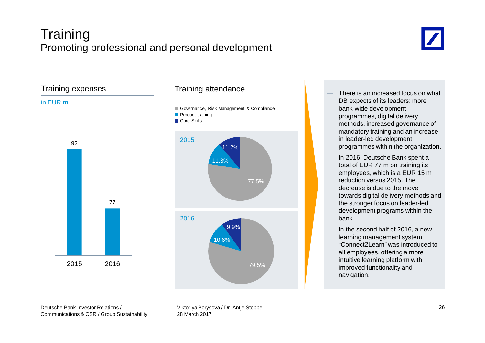## Training Promoting professional and personal development





- There is an increased focus on what DB expects of its leaders: more bank-wide development programmes, digital delivery methods, increased governance of mandatory training and an increase in leader-led development programmes within the organization.
- In 2016, Deutsche Bank spent a total of EUR 77 m on training its employees, which is a EUR 15 m reduction versus 2015. The decrease is due to the move towards digital delivery methods and the stronger focus on leader-led development programs within the bank.
- In the second half of 2016, a new learning management system "Connect2Learn" was introduced to all employees, offering a more intuitive learning platform with improved functionality and navigation.

Viktoriya Borysova / Dr. Antje Stobbe 28 March 2017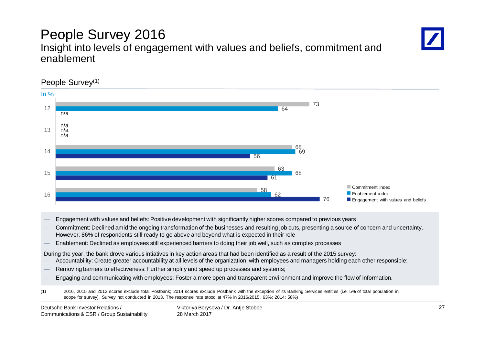#### 76 61 56 62 68 69 68 64 58 63 73 16 15 14 13 12 In % Commitment index **Enablement index E** Engagement with values and beliefs n/a n/a n/a n/a

### People Survey 2016 Insight into levels of engagement with values and beliefs, commitment and enablement

— Engagement with values and beliefs: Positive development with significantly higher scores compared to previous years

— Commitment: Declined amid the ongoing transformation of the businesses and resulting job cuts, presenting a source of concern and uncertainty. However, 86% of respondents still ready to go above and beyond what is expected in their role

— Enablement: Declined as employees still experienced barriers to doing their job well, such as complex processes

During the year, the bank drove various intiatives in key action areas that had been identified as a result of the 2015 survey:

- Accountability: Create greater accountability at all levels of the organization, with employees and managers holding each other responsible;
- Removing barriers to effectiveness: Further simplify and speed up processes and systems;
- Engaging and communicating with employees: Foster a more open and transparent environment and improve the flow of information.

(1) 2016, 2015 and 2012 scores exclude total Postbank; 2014 scores exclude Postbank with the exception of its Banking Services entities (i.e. 5% of total population in scope for survey). Survey not conducted in 2013. The response rate stood at 47% in 2016/2015: 63%; 2014: 58%)

People Survey<sup>(1)</sup>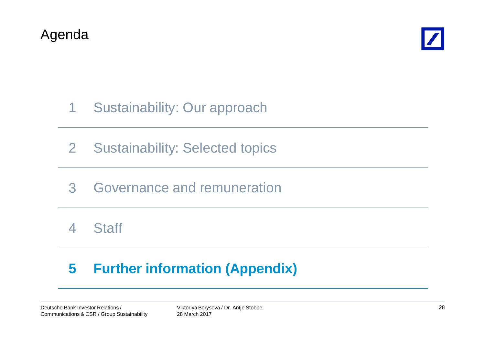



# 1 Sustainability: Our approach

- 2 Sustainability: Selected topics
- 3 Governance and remuneration

4 Staff

# **5 Further information (Appendix)**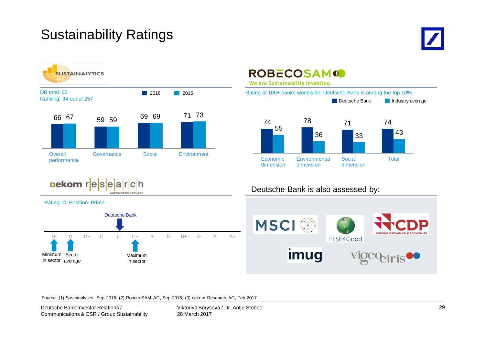## Sustainability Ratings











**ROBECOSAM**<sup>10</sup> We are Sustainability Investing. Rating of 100+ banks worldwide. Deutsche Bank is among the top 10%





### Deutsche Bank is also assessed by:



Source: (1) Sustainalytics, Sep 2016; (2) RobecoSAM AG, Sep 2016; (3) oekom Research AG, Feb 2017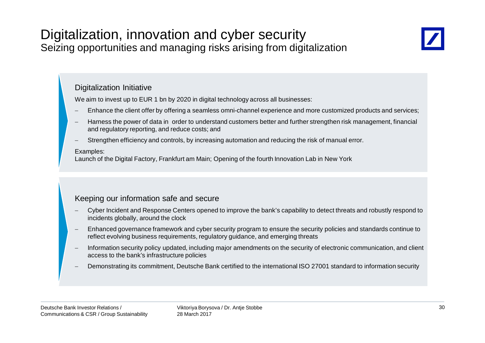## Digitalization, innovation and cyber security Seizing opportunities and managing risks arising from digitalization



### Digitalization Initiative

We aim to invest up to EUR 1 bn by 2020 in digital technology across all businesses:

- Enhance the client offer by offering a seamless omni-channel experience and more customized products and services;
- Harness the power of data in order to understand customers better and further strengthen risk management, financial and regulatory reporting, and reduce costs; and
- Strengthen efficiency and controls, by increasing automation and reducing the risk of manual error.

#### Examples:

Launch of the Digital Factory, Frankfurt am Main; Opening of the fourth Innovation Lab in New York

### Keeping our information safe and secure

- Cyber Incident and Response Centers opened to improve the bank's capability to detect threats and robustly respond to incidents globally, around the clock
- Enhanced governance framework and cyber security program to ensure the security policies and standards continue to reflect evolving business requirements, regulatory guidance, and emerging threats
- Information security policy updated, including major amendments on the security of electronic communication, and client access to the bank's infrastructure policies
- Demonstrating its commitment, Deutsche Bank certified to the international ISO 27001 standard to information security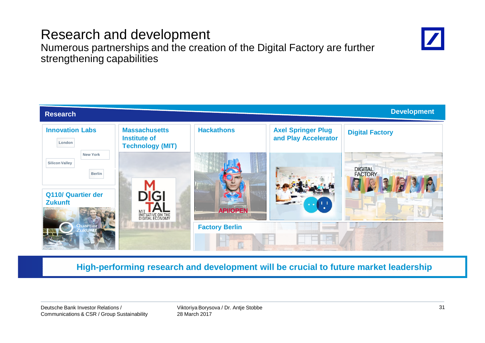## Research and development

Numerous partnerships and the creation of the Digital Factory are further strengthening capabilities



**High-performing research and development will be crucial to future market leadership**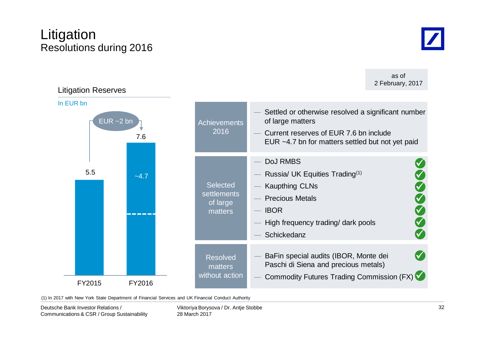## Litigation Resolutions during 2016

as of

**Selected** settlements of large matters DoJ RMBS Russia/ UK Equities Trading $(1)$ **Kaupthing CLNs Precious Metals IBOR** High frequency trading/ dark pools **Schickedanz** 9 **V** 9 9 9 9 **Achievements** 2016 Settled or otherwise resolved a significant number of large matters Current reserves of FUR 7.6 bn include EUR ~4.7 bn for matters settled but not yet paid 5.5 7.6 FY2015 FY2016  $-4.7$ Litigation Reserves In EUR bn  $EUR - 2$  bn Resolved matters without action BaFin special audits (IBOR, Monte dei Paschi di Siena and precious metals) **Commodity Futures Trading Commission (FX)**  $\blacktriangledown$ 9 2 February, 2017

(1) In 2017 with New York State Department of Financial Services and UK Financial Conduct Authority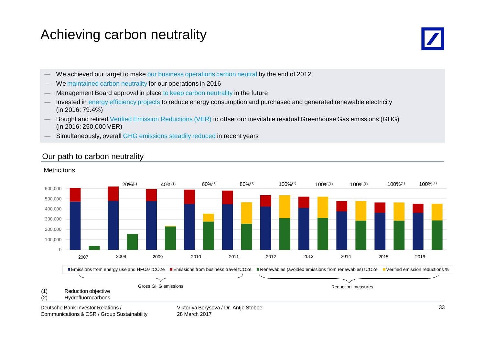## Achieving carbon neutrality



- We achieved our target to make our business operations carbon neutral by the end of 2012
- We maintained carbon neutrality for our operations in 2016
- Management Board approval in place to keep carbon neutrality in the future
- Invested in energy efficiency projects to reduce energy consumption and purchased and generated renewable electricity (in 2016: 79.4%)
- Bought and retired Verified Emission Reductions (VER) to offset our inevitable residual Greenhouse Gas emissions (GHG) (in 2016: 250,000 VER)
- Simultaneously, overall GHG emissions steadily reduced in recent years

### Our path to carbon neutrality

### (1) Reduction objective (2) Hydrofluorocarbons 0 100,000 200,000 300,000 400,000 500,000 600,000 Emissions from energy use and HFCs<sup>2</sup> tCO2e Emissions from business travel tCO2e Renewables (avoided emissions from renewables) tCO2e Verified emission reductions %  $20\%^{(1)}$   $40\%^{(1)}$   $60\%^{(1)}$   $80\%^{(1)}$   $100\%^{(1)}$   $100\%^{(1)}$   $100\%^{(1)}$ 2007 2008 2009 2010 2011 2012 2013 2014 2015 2016 100%(1) 100%(1) Gross GHG emissions **Reduction measures** Reduction measures **Reduction measures**

#### Metric tons

Deutsche Bank Investor Relations / Communications & CSR / Group Sustainability Viktoriya Borysova / Dr. Antje Stobbe 28 March 2017